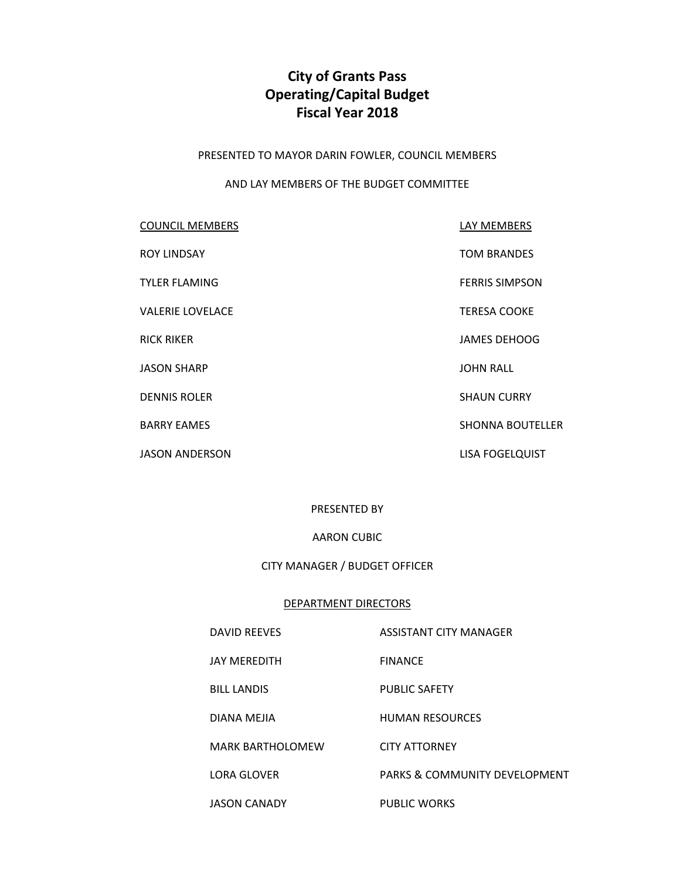# **City of Grants Pass Operating/Capital Budget Fiscal Year 2018**

PRESENTED TO MAYOR DARIN FOWLER, COUNCIL MEMBERS

#### AND LAY MEMBERS OF THE BUDGET COMMITTEE

| <b>COUNCIL MEMBERS</b>  | LAY MEMBERS             |
|-------------------------|-------------------------|
| <b>ROY LINDSAY</b>      | <b>TOM BRANDES</b>      |
| <b>TYLER FLAMING</b>    | <b>FERRIS SIMPSON</b>   |
| <b>VALERIE LOVELACE</b> | <b>TERESA COOKE</b>     |
| <b>RICK RIKER</b>       | <b>JAMES DEHOOG</b>     |
| <b>JASON SHARP</b>      | <b>JOHN RALL</b>        |
| <b>DENNIS ROLER</b>     | <b>SHAUN CURRY</b>      |
| <b>BARRY EAMES</b>      | <b>SHONNA BOUTELLER</b> |
| <b>JASON ANDERSON</b>   | LISA FOGELQUIST         |

## PRESENTED BY

## AARON CUBIC

#### CITY MANAGER / BUDGET OFFICER

#### DEPARTMENT DIRECTORS

DAVID REEVES ASSISTANT CITY MANAGER

- JAY MEREDITH FINANCE
- BILL LANDIS PUBLIC SAFETY

DIANA MEJIA **HUMAN RESOURCES** 

MARK BARTHOLOMEW CITY ATTORNEY

LORA GLOVER PARKS & COMMUNITY DEVELOPMENT

JASON CANADY PUBLIC WORKS